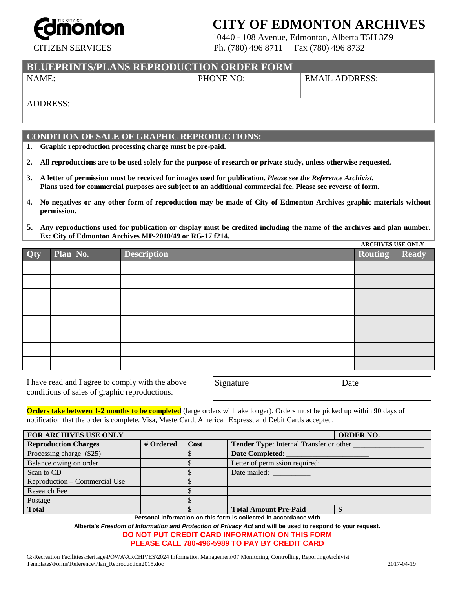

## **CITY OF EDMONTON ARCHIVES**

10440 - 108 Avenue, Edmonton, Alberta T5H 3Z9 CITIZEN SERVICES Ph. (780) 496 8711 Fax (780) 496 8732

**BLUEPRINTS/PLANS REPRODUCTION ORDER FORM**

NAME: PHONE NO: EMAIL ADDRESS:

ADDRESS:

### **CONDITION OF SALE OF GRAPHIC REPRODUCTIONS:**

**1. Graphic reproduction processing charge must be pre-paid.**

**2. All reproductions are to be used solely for the purpose of research or private study, unless otherwise requested.**

- **3. A letter of permission must be received for images used for publication.** *Please see the Reference Archivist.* **Plans used for commercial purposes are subject to an additional commercial fee. Please see reverse of form.**
- **4. No negatives or any other form of reproduction may be made of City of Edmonton Archives graphic materials without permission.**
- **5. Any reproductions used for publication or display must be credited including the name of the archives and plan number. Ex: City of Edmonton Archives MP-2010/49 or RG-17 f214.**

| Qty | Plan No. | <b>Description</b> | <b>ARCHIVES USE UNLI</b><br><b>Routing</b> | Ready |
|-----|----------|--------------------|--------------------------------------------|-------|
|     |          |                    |                                            |       |
|     |          |                    |                                            |       |
|     |          |                    |                                            |       |
|     |          |                    |                                            |       |
|     |          |                    |                                            |       |
|     |          |                    |                                            |       |
|     |          |                    |                                            |       |
|     |          |                    |                                            |       |

I have read and I agree to comply with the above conditions of sales of graphic reproductions.

| Signature | Date |
|-----------|------|
|           |      |

**Orders take between 1-2 months to be completed** (large orders will take longer). Orders must be picked up within **90** days of notification that the order is complete. Visa, MasterCard, American Express, and Debit Cards accepted.

| <b>FOR ARCHIVES USE ONLY</b>  | <b>ORDER NO.</b> |      |                                                |  |
|-------------------------------|------------------|------|------------------------------------------------|--|
| <b>Reproduction Charges</b>   | # Ordered        | Cost | <b>Tender Type:</b> Internal Transfer or other |  |
| Processing charge (\$25)      |                  |      | <b>Date Completed:</b>                         |  |
| Balance owing on order        |                  |      | Letter of permission required:                 |  |
| Scan to CD                    |                  |      | Date mailed:                                   |  |
| Reproduction – Commercial Use |                  |      |                                                |  |
| <b>Research Fee</b>           |                  |      |                                                |  |
| Postage                       |                  |      |                                                |  |
| <b>Total</b>                  |                  |      | <b>Total Amount Pre-Paid</b>                   |  |

**Personal information on this form is collected in accordance with** 

**Alberta's** *Freedom of Information and Protection of Privacy Act* **and will be used to respond to your request. DO NOT PUT CREDIT CARD INFORMATION ON THIS FORM**

#### **PLEASE CALL 780-496-5989 TO PAY BY CREDIT CARD**

G:\Recreation Facilities\Heritage\POWA\ARCHIVES\2024 Information Management\07 Monitoring, Controlling, Reporting\Archivist Templates\Forms\Reference\Plan\_Reproduction2015.doc 2017-04-19

**ARCHIVES USE ONLY**